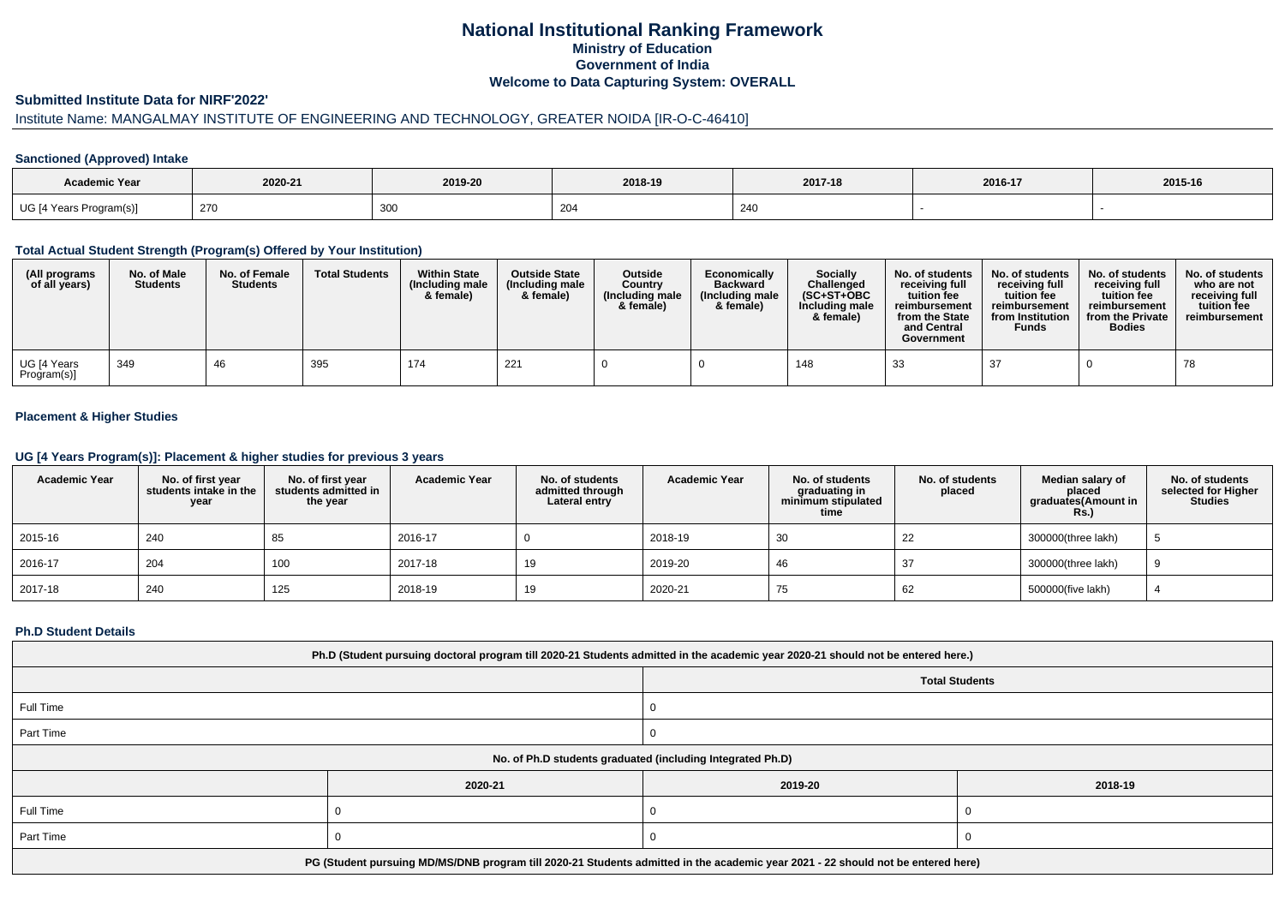# **National Institutional Ranking FrameworkMinistry of Education Government of IndiaWelcome to Data Capturing System: OVERALL**

### **Submitted Institute Data for NIRF'2022'**

# Institute Name: MANGALMAY INSTITUTE OF ENGINEERING AND TECHNOLOGY, GREATER NOIDA [IR-O-C-46410]

## **Sanctioned (Approved) Intake**

| Academic Year           |         |             |               |         |         |         |
|-------------------------|---------|-------------|---------------|---------|---------|---------|
|                         | 2020-21 | 2019-20     | 2018-19       | 2017-18 | 2016-17 | 2015-16 |
| UG [4 Years Program(s)] | 270     | 200<br>ັບບບ | $\sim$<br>204 | 240     |         |         |

### **Total Actual Student Strength (Program(s) Offered by Your Institution)**

| (All programs<br>of all years) | No. of Male<br><b>Students</b> | No. of Female<br><b>Students</b> | <b>Total Students</b> | <b>Within State</b><br>(Including male<br>& female) | <b>Outside State</b><br>(Including male<br>& female) | <b>Outside</b><br>Country<br>(Including male<br>& female) | Economically<br><b>Backward</b><br>(Including male<br>& female) | <b>Socially</b><br>Challenged<br>$(SC+ST+OBC)$<br>Including male<br>& female) | No. of students<br>receiving full<br>tuition fee<br>reimbursement<br>from the State<br>and Central<br>Government | No. of students<br>receiving full<br>tuition fee<br>reimbursement<br>from Institution<br><b>Funds</b> | No. of students<br>receiving full<br>tuition fee<br>reimbursement<br>from the Private<br><b>Bodies</b> | No. of students<br>who are not<br>receiving full<br>tuition fee<br>reimbursement |
|--------------------------------|--------------------------------|----------------------------------|-----------------------|-----------------------------------------------------|------------------------------------------------------|-----------------------------------------------------------|-----------------------------------------------------------------|-------------------------------------------------------------------------------|------------------------------------------------------------------------------------------------------------------|-------------------------------------------------------------------------------------------------------|--------------------------------------------------------------------------------------------------------|----------------------------------------------------------------------------------|
| UG [4 Years<br>Program(s)]     | 349                            | 46                               | 395                   | 174                                                 | 221                                                  |                                                           |                                                                 | 148                                                                           | 33                                                                                                               | 37                                                                                                    |                                                                                                        | 78                                                                               |

## **Placement & Higher Studies**

### **UG [4 Years Program(s)]: Placement & higher studies for previous 3 years**

| <b>Academic Year</b> | No. of first year<br>students intake in the<br>year | No. of first year<br>students admitted in<br>the year | <b>Academic Year</b> | No. of students<br>admitted through<br>Lateral entry | <b>Academic Year</b> | No. of students<br>graduating in<br>minimum stipulated<br>time | No. of students<br>placed | Median salary of<br>placed<br>graduates(Amount in<br><b>Rs.)</b> | No. of students<br>selected for Higher<br><b>Studies</b> |
|----------------------|-----------------------------------------------------|-------------------------------------------------------|----------------------|------------------------------------------------------|----------------------|----------------------------------------------------------------|---------------------------|------------------------------------------------------------------|----------------------------------------------------------|
| 2015-16              | 240                                                 | 85                                                    | 2016-17              |                                                      | 2018-19              | 30                                                             | 22                        | 300000(three lakh)                                               |                                                          |
| 2016-17              | 204                                                 | 100                                                   | 2017-18              | 19                                                   | 2019-20              | 46                                                             |                           | 300000(three lakh)                                               |                                                          |
| 2017-18              | 240                                                 | 125                                                   | 2018-19              | 19                                                   | 2020-21              | 75                                                             | 62                        | 500000(five lakh)                                                |                                                          |

#### **Ph.D Student Details**

| Ph.D (Student pursuing doctoral program till 2020-21 Students admitted in the academic year 2020-21 should not be entered here.) |         |         |         |  |  |
|----------------------------------------------------------------------------------------------------------------------------------|---------|---------|---------|--|--|
| <b>Total Students</b>                                                                                                            |         |         |         |  |  |
| Full Time                                                                                                                        |         |         |         |  |  |
| Part Time                                                                                                                        |         |         |         |  |  |
| No. of Ph.D students graduated (including Integrated Ph.D)                                                                       |         |         |         |  |  |
|                                                                                                                                  | 2020-21 | 2019-20 | 2018-19 |  |  |
| Full Time                                                                                                                        |         |         |         |  |  |
| Part Time                                                                                                                        |         |         |         |  |  |
| PG (Student pursuing MD/MS/DNB program till 2020-21 Students admitted in the academic year 2021 - 22 should not be entered here) |         |         |         |  |  |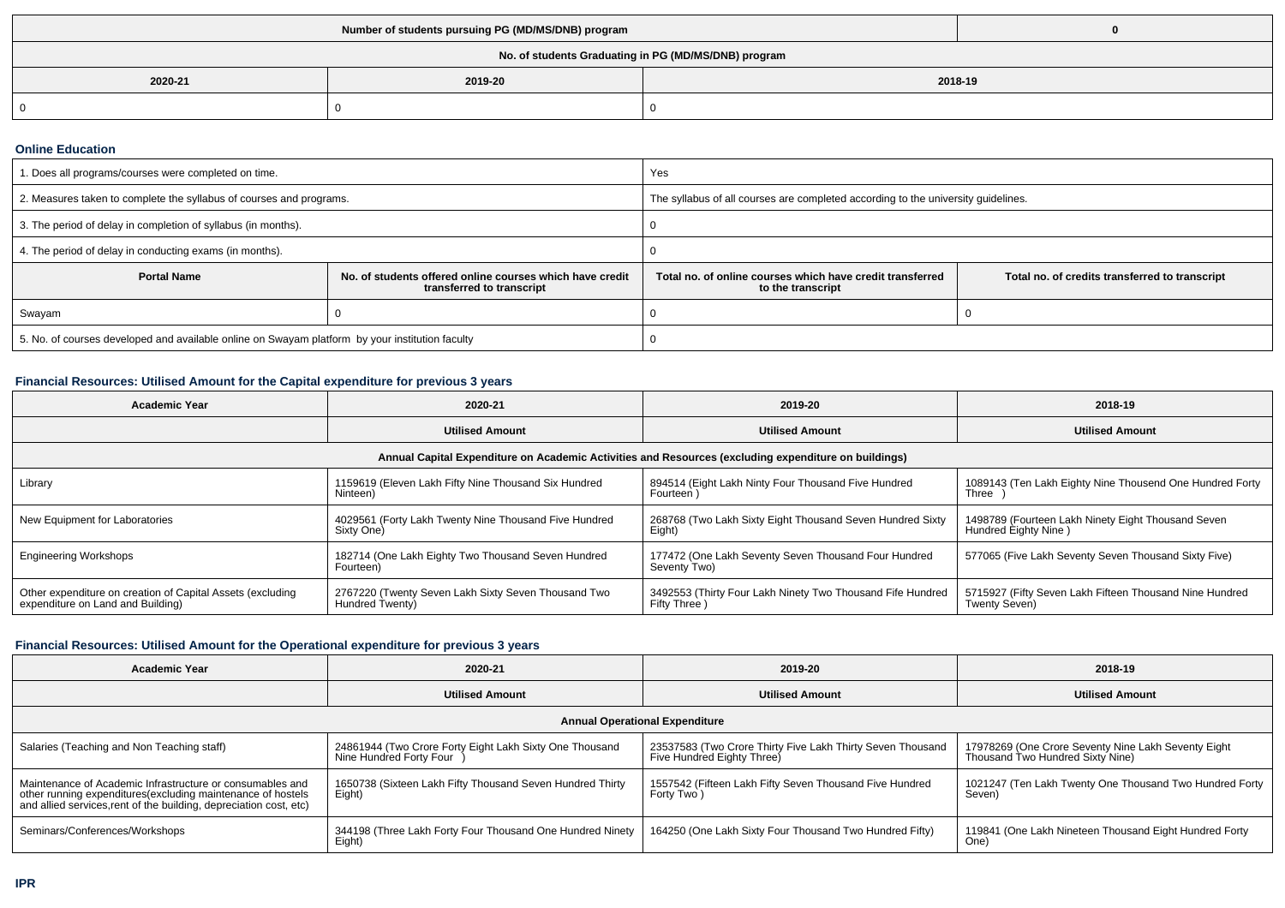| No. of students Graduating in PG (MD/MS/DNB) program |         |         |  |  |  |
|------------------------------------------------------|---------|---------|--|--|--|
| 2020-21                                              | 2019-20 | 2018-19 |  |  |  |
|                                                      |         |         |  |  |  |

### **Online Education**

| 1. Does all programs/courses were completed on time.                                            |                                                                                       | Yes                                                                               |                                                |  |  |
|-------------------------------------------------------------------------------------------------|---------------------------------------------------------------------------------------|-----------------------------------------------------------------------------------|------------------------------------------------|--|--|
| 2. Measures taken to complete the syllabus of courses and programs.                             |                                                                                       | The syllabus of all courses are completed according to the university guidelines. |                                                |  |  |
| 3. The period of delay in completion of syllabus (in months).                                   |                                                                                       |                                                                                   |                                                |  |  |
| 4. The period of delay in conducting exams (in months).                                         |                                                                                       |                                                                                   |                                                |  |  |
| <b>Portal Name</b>                                                                              | No. of students offered online courses which have credit<br>transferred to transcript | Total no, of online courses which have credit transferred<br>to the transcript    | Total no. of credits transferred to transcript |  |  |
| Swayam                                                                                          |                                                                                       |                                                                                   |                                                |  |  |
| 5. No. of courses developed and available online on Swayam platform by your institution faculty |                                                                                       |                                                                                   |                                                |  |  |

# **Financial Resources: Utilised Amount for the Capital expenditure for previous 3 years**

| <b>Academic Year</b>                                                                                 | 2020-21                                                                | 2019-20                                                                     | 2018-19                                                                    |  |  |  |  |
|------------------------------------------------------------------------------------------------------|------------------------------------------------------------------------|-----------------------------------------------------------------------------|----------------------------------------------------------------------------|--|--|--|--|
|                                                                                                      | <b>Utilised Amount</b>                                                 | <b>Utilised Amount</b>                                                      | <b>Utilised Amount</b>                                                     |  |  |  |  |
| Annual Capital Expenditure on Academic Activities and Resources (excluding expenditure on buildings) |                                                                        |                                                                             |                                                                            |  |  |  |  |
| Library                                                                                              | 1159619 (Eleven Lakh Fifty Nine Thousand Six Hundred<br>Ninteen)       | 894514 (Eight Lakh Ninty Four Thousand Five Hundred<br>Fourteen)            | 1089143 (Ten Lakh Eighty Nine Thousend One Hundred Forty<br>Three          |  |  |  |  |
| New Equipment for Laboratories                                                                       | 4029561 (Forty Lakh Twenty Nine Thousand Five Hundred<br>Sixty One)    | 268768 (Two Lakh Sixty Eight Thousand Seven Hundred Sixty<br>Eight)         | 1498789 (Fourteen Lakh Ninety Eight Thousand Seven<br>Hundred Eighty Nine) |  |  |  |  |
| <b>Engineering Workshops</b>                                                                         | 182714 (One Lakh Eighty Two Thousand Seven Hundred<br>Fourteen)        | 177472 (One Lakh Seventy Seven Thousand Four Hundred<br>Seventy Two)        | 577065 (Five Lakh Seventy Seven Thousand Sixty Five)                       |  |  |  |  |
| Other expenditure on creation of Capital Assets (excluding<br>expenditure on Land and Building)      | 2767220 (Twenty Seven Lakh Sixty Seven Thousand Two<br>Hundred Twenty) | 3492553 (Thirty Four Lakh Ninety Two Thousand Fife Hundred<br>Fifty Three ) | 5715927 (Fifty Seven Lakh Fifteen Thousand Nine Hundred<br>Twenty Seven)   |  |  |  |  |

## **Financial Resources: Utilised Amount for the Operational expenditure for previous 3 years**

| <b>Academic Year</b>                                                                                                                                                                            | 2020-21                                                                            | 2019-20                                                                                  | 2018-19                                                                                 |  |  |  |  |
|-------------------------------------------------------------------------------------------------------------------------------------------------------------------------------------------------|------------------------------------------------------------------------------------|------------------------------------------------------------------------------------------|-----------------------------------------------------------------------------------------|--|--|--|--|
|                                                                                                                                                                                                 | <b>Utilised Amount</b>                                                             | <b>Utilised Amount</b>                                                                   | <b>Utilised Amount</b>                                                                  |  |  |  |  |
| <b>Annual Operational Expenditure</b>                                                                                                                                                           |                                                                                    |                                                                                          |                                                                                         |  |  |  |  |
| Salaries (Teaching and Non Teaching staff)                                                                                                                                                      | 24861944 (Two Crore Forty Eight Lakh Sixty One Thousand<br>Nine Hundred Forty Four | 23537583 (Two Crore Thirty Five Lakh Thirty Seven Thousand<br>Five Hundred Eighty Three) | 17978269 (One Crore Seventy Nine Lakh Seventy Eight<br>Thousand Two Hundred Sixty Nine) |  |  |  |  |
| Maintenance of Academic Infrastructure or consumables and<br>other running expenditures (excluding maintenance of hostels<br>and allied services, rent of the building, depreciation cost, etc) | 1650738 (Sixteen Lakh Fifty Thousand Seven Hundred Thirty<br>Eight)                | 1557542 (Fifteen Lakh Fifty Seven Thousand Five Hundred<br>Forty Two)                    | 1021247 (Ten Lakh Twenty One Thousand Two Hundred Forty<br>Seven)                       |  |  |  |  |
| Seminars/Conferences/Workshops                                                                                                                                                                  | 344198 (Three Lakh Forty Four Thousand One Hundred Ninety<br>Eight)                | 164250 (One Lakh Sixty Four Thousand Two Hundred Fifty)                                  | 119841 (One Lakh Nineteen Thousand Eight Hundred Forty<br>One)                          |  |  |  |  |